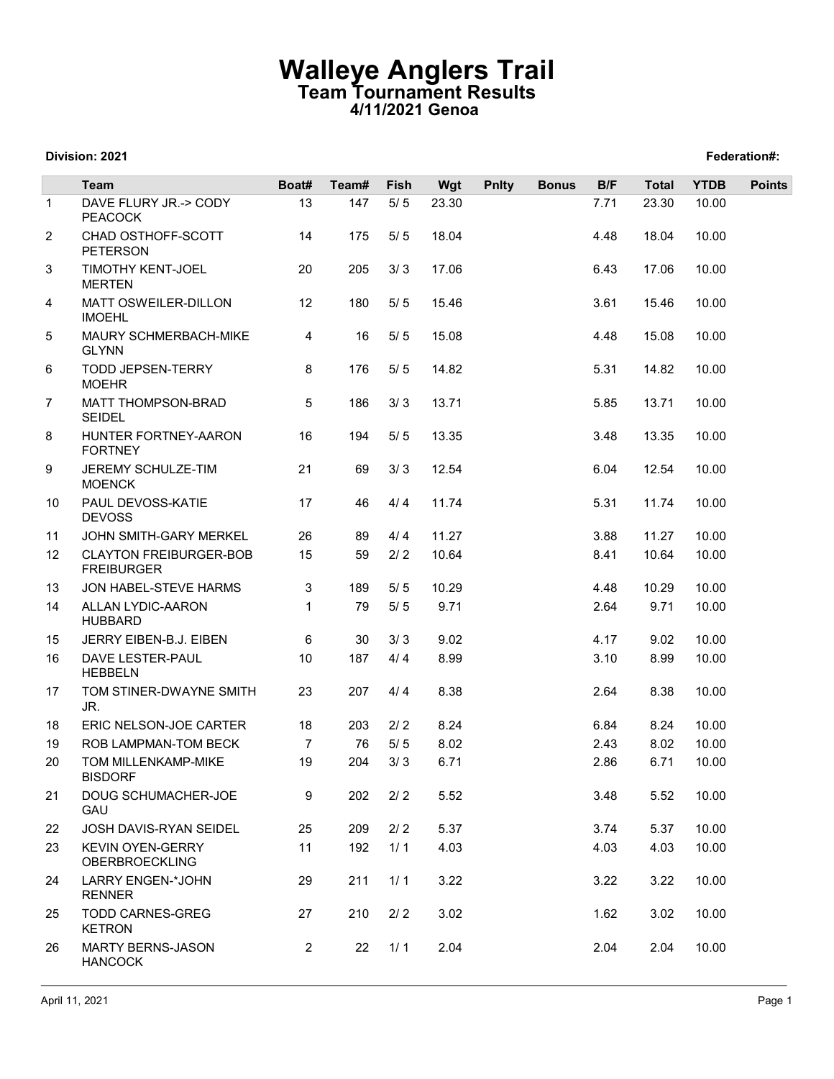## Walleye Anglers Trail Team Tournament Results 4/11/2021 Genoa

### Division: 2021 Federation#:

|                |                                                          | <b>Walleye Anglers Trail</b><br>Team Tournament Results<br>4/11/2021 Genoa<br>Federation#: |              |               |               |              |              |              |                       |                      |               |
|----------------|----------------------------------------------------------|--------------------------------------------------------------------------------------------|--------------|---------------|---------------|--------------|--------------|--------------|-----------------------|----------------------|---------------|
|                | Division: 2021                                           |                                                                                            |              |               |               |              |              |              |                       |                      |               |
| $\mathbf{1}$   | <b>Team</b><br>DAVE FLURY JR.-> CODY                     | Boat#<br>13                                                                                | Team#<br>147 | Fish<br>$5/5$ | Wgt<br>23.30  | <b>Pnlty</b> | <b>Bonus</b> | B/F<br>7.71  | <b>Total</b><br>23.30 | <b>YTDB</b><br>10.00 | <b>Points</b> |
| 2              | <b>PEACOCK</b><br>CHAD OSTHOFF-SCOTT                     | 14                                                                                         | 175          | $5/5$         | 18.04         |              |              | 4.48         | 18.04                 | 10.00                |               |
| 3              | <b>PETERSON</b><br><b>TIMOTHY KENT-JOEL</b>              | 20                                                                                         | 205          | 3/3           | 17.06         |              |              | 6.43         | 17.06                 | 10.00                |               |
| 4              | <b>MERTEN</b><br>MATT OSWEILER-DILLON                    | 12                                                                                         | 180          | 5/5           | 15.46         |              |              | 3.61         | 15.46                 | 10.00                |               |
| 5              | <b>IMOEHL</b><br>MAURY SCHMERBACH-MIKE                   | $\overline{4}$                                                                             | 16           | 5/5           | 15.08         |              |              | 4.48         | 15.08                 | 10.00                |               |
| 6              | <b>GLYNN</b><br><b>TODD JEPSEN-TERRY</b><br><b>MOEHR</b> | 8                                                                                          | 176          | $5/5$         | 14.82         |              |              | 5.31         | 14.82                 | 10.00                |               |
| $\overline{7}$ | MATT THOMPSON-BRAD<br><b>SEIDEL</b>                      | 5                                                                                          | 186          | 3/3           | 13.71         |              |              | 5.85         | 13.71                 | 10.00                |               |
| 8              | HUNTER FORTNEY-AARON<br><b>FORTNEY</b>                   | 16                                                                                         | 194          | 5/5           | 13.35         |              |              | 3.48         | 13.35                 | 10.00                |               |
| 9              | JEREMY SCHULZE-TIM<br><b>MOENCK</b>                      | 21                                                                                         | 69           | $3/3$         | 12.54         |              |              | 6.04         | 12.54                 | 10.00                |               |
| 10             | PAUL DEVOSS-KATIE<br><b>DEVOSS</b>                       | 17                                                                                         | 46           | 4/4           | 11.74         |              |              | 5.31         | 11.74                 | 10.00                |               |
| 11             | JOHN SMITH-GARY MERKEL                                   | 26                                                                                         | 89           | 4/4           | 11.27         |              |              | 3.88         | 11.27                 | 10.00                |               |
| 12             | <b>CLAYTON FREIBURGER-BOB</b><br><b>FREIBURGER</b>       | 15                                                                                         | 59           | $2/2$         | 10.64         |              |              | 8.41         | 10.64                 | 10.00                |               |
| 13<br>14       | JON HABEL-STEVE HARMS<br>ALLAN LYDIC-AARON               | 3<br>$\mathbf{1}$                                                                          | 189<br>79    | 5/5<br>$5/5$  | 10.29<br>9.71 |              |              | 4.48<br>2.64 | 10.29<br>9.71         | 10.00<br>10.00       |               |
| 15             | <b>HUBBARD</b><br>JERRY EIBEN-B.J. EIBEN                 | 6                                                                                          | 30           | 3/3           | 9.02          |              |              | 4.17         | 9.02                  | 10.00                |               |
| 16             | DAVE LESTER-PAUL<br><b>HEBBELN</b>                       | 10                                                                                         | 187          | 4/4           | 8.99          |              |              | 3.10         | 8.99                  | 10.00                |               |
| 17             | TOM STINER-DWAYNE SMITH<br>JR.                           | 23                                                                                         | 207          | 4/4           | 8.38          |              |              | 2.64         | 8.38                  | 10.00                |               |
| 18             | ERIC NELSON-JOE CARTER                                   | 18                                                                                         | 203          | $2/2$         | 8.24          |              |              | 6.84         | 8.24                  | 10.00                |               |
| 19<br>20       | ROB LAMPMAN-TOM BECK<br>TOM MILLENKAMP-MIKE              | $\overline{7}$<br>19                                                                       | 76<br>204    | $5/5$<br>3/3  | 8.02<br>6.71  |              |              | 2.43<br>2.86 | 8.02<br>6.71          | 10.00<br>10.00       |               |
| 21             | <b>BISDORF</b><br>DOUG SCHUMACHER-JOE                    | 9                                                                                          | 202          | $2/2$         | 5.52          |              |              | 3.48         | 5.52                  | 10.00                |               |
| 22             | GAU<br>JOSH DAVIS-RYAN SEIDEL                            | 25                                                                                         | 209          | 2/2           | 5.37          |              |              | 3.74         | 5.37                  | 10.00                |               |
| 23             | <b>KEVIN OYEN-GERRY</b><br>OBERBROECKLING                | 11                                                                                         | 192          | 1/1           | 4.03          |              |              | 4.03         | 4.03                  | 10.00                |               |
| 24             | LARRY ENGEN-*JOHN<br><b>RENNER</b>                       | 29                                                                                         | 211          | 1/1           | 3.22          |              |              | 3.22         | 3.22                  | 10.00                |               |
| 25             | <b>TODD CARNES-GREG</b><br><b>KETRON</b>                 | 27                                                                                         | 210          | $2/2$         | 3.02          |              |              | 1.62         | 3.02                  | 10.00                |               |
| 26             | MARTY BERNS-JASON<br><b>HANCOCK</b>                      | $\overline{2}$                                                                             | 22           | 1/1           | 2.04          |              |              | 2.04         | 2.04                  | 10.00                |               |